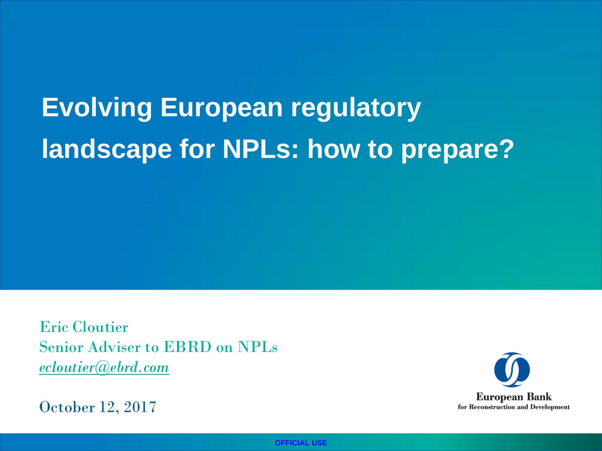# **Evolving European regulatory landscape for NPLs: how to prepare?**

Eric Cloutier Senior Adviser to EBRD on NPLs *ecloutier@ebrd.com* 

October 12, 2017

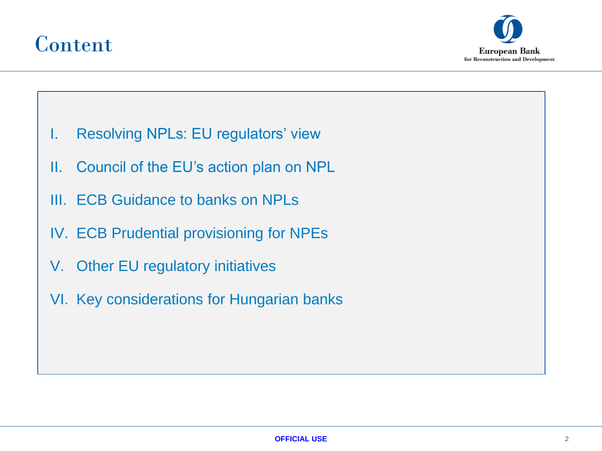

• ).



- I. Resolving NPLs: EU regulators' view
- II. Council of the EU's action plan on NPL
- III. ECB Guidance to banks on NPLs
- IV. ECB Prudential provisioning for NPEs
- V. Other EU regulatory initiatives
- VI. Key considerations for Hungarian banks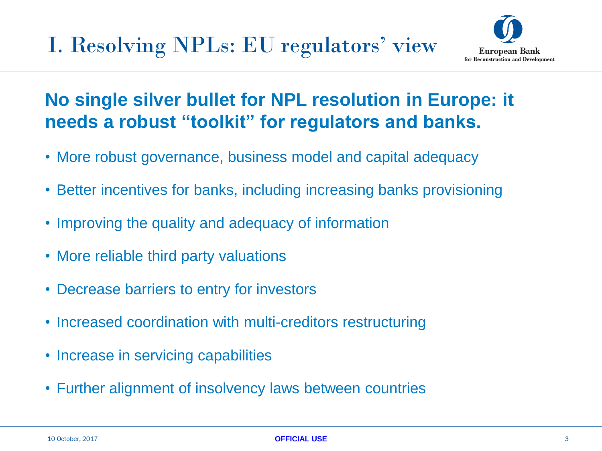

### **No single silver bullet for NPL resolution in Europe: it needs a robust "toolkit" for regulators and banks.**

- More robust governance, business model and capital adequacy
- Better incentives for banks, including increasing banks provisioning
- Improving the quality and adequacy of information
- More reliable third party valuations
- Decrease barriers to entry for investors
- Increased coordination with multi-creditors restructuring
- Increase in servicing capabilities
- Further alignment of insolvency laws between countries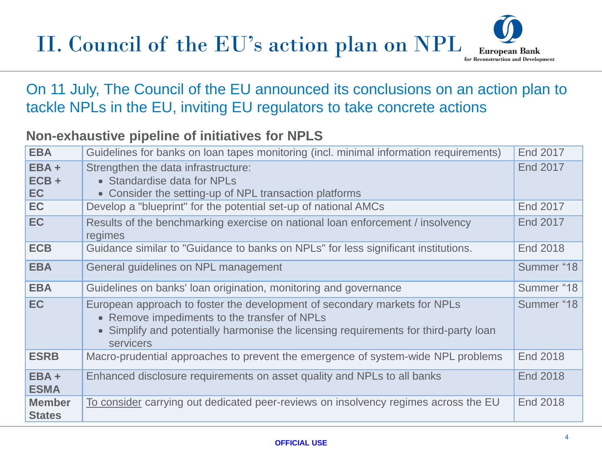## II. Council of the EU's action plan on NPL



#### On 11 July, The Council of the EU announced its conclusions on an action plan to tackle NPLs in the EU, inviting EU regulators to take concrete actions

#### **Non-exhaustive pipeline of initiatives for NPLS**

| <b>EBA</b>                      | Guidelines for banks on loan tapes monitoring (incl. minimal information requirements)                                                                                                                                         | End 2017        |
|---------------------------------|--------------------------------------------------------------------------------------------------------------------------------------------------------------------------------------------------------------------------------|-----------------|
| $EBA +$<br>$ECB +$<br><b>EC</b> | Strengthen the data infrastructure:<br>• Standardise data for NPLs<br>• Consider the setting-up of NPL transaction platforms                                                                                                   | <b>End 2017</b> |
| EC                              | Develop a "blueprint" for the potential set-up of national AMCs                                                                                                                                                                | End 2017        |
| <b>EC</b>                       | Results of the benchmarking exercise on national loan enforcement / insolvency<br>regimes                                                                                                                                      | End 2017        |
| <b>ECB</b>                      | Guidance similar to "Guidance to banks on NPLs" for less significant institutions.                                                                                                                                             | <b>End 2018</b> |
| <b>EBA</b>                      | General guidelines on NPL management                                                                                                                                                                                           | Summer "18      |
| <b>EBA</b>                      | Guidelines on banks' loan origination, monitoring and governance                                                                                                                                                               | Summer "18      |
| <b>EC</b>                       | European approach to foster the development of secondary markets for NPLs<br>• Remove impediments to the transfer of NPLs<br>• Simplify and potentially harmonise the licensing requirements for third-party loan<br>servicers | Summer "18      |
| <b>ESRB</b>                     | Macro-prudential approaches to prevent the emergence of system-wide NPL problems                                                                                                                                               | <b>End 2018</b> |
| $EBA +$<br><b>ESMA</b>          | Enhanced disclosure requirements on asset quality and NPLs to all banks                                                                                                                                                        | <b>End 2018</b> |
| <b>Member</b><br><b>States</b>  | To consider carrying out dedicated peer-reviews on insolvency regimes across the EU                                                                                                                                            | <b>End 2018</b> |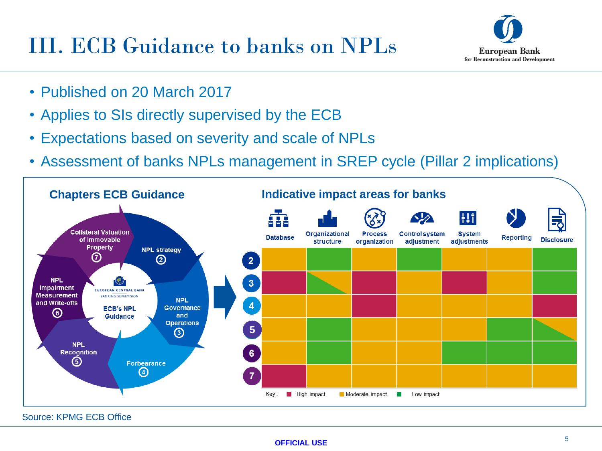## III. ECB Guidance to banks on NPLs



- Published on 20 March 2017
- Applies to SIs directly supervised by the ECB
- Expectations based on severity and scale of NPLs
- Assessment of banks NPLs management in SREP cycle (Pillar 2 implications)



Source: KPMG ECB Office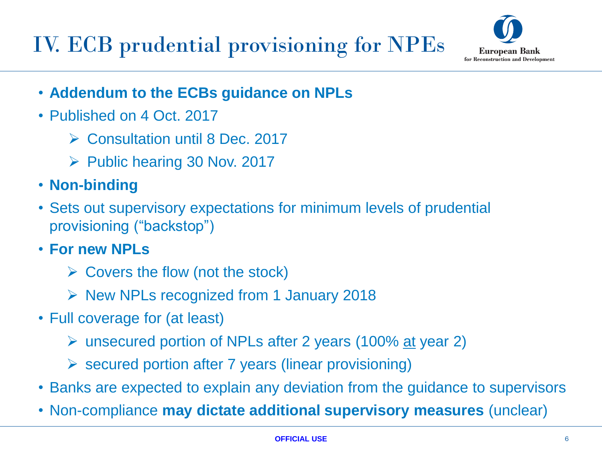IV. ECB prudential provisioning for NPEs



- **Addendum to the ECBs guidance on NPLs**
- Published on 4 Oct. 2017
	- ▶ Consultation until 8 Dec. 2017
	- $\triangleright$  Public hearing 30 Nov. 2017
- **Non-binding**
- Sets out supervisory expectations for minimum levels of prudential provisioning ("backstop")
- **For new NPLs** 
	- $\triangleright$  Covers the flow (not the stock)
	- $\triangleright$  New NPLs recognized from 1 January 2018
- Full coverage for (at least)
	- unsecured portion of NPLs after 2 years (100% at year 2)
	- $\triangleright$  secured portion after 7 years (linear provisioning)
- Banks are expected to explain any deviation from the guidance to supervisors
- Non-compliance **may dictate additional supervisory measures** (unclear)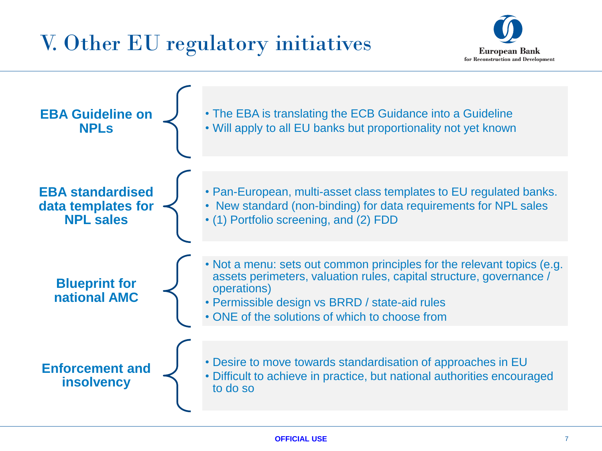## V. Other EU regulatory initiatives



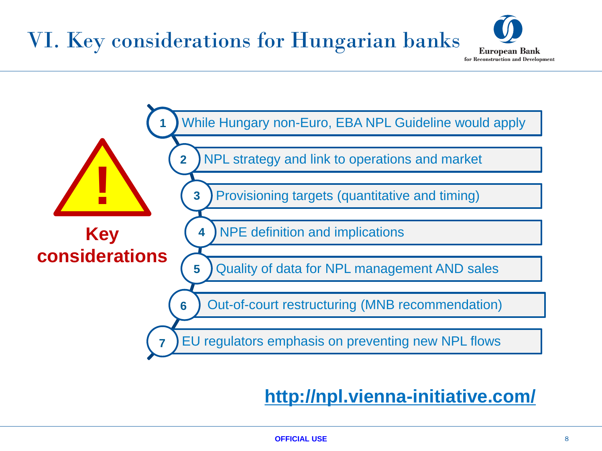## VI. Key considerations for Hungarian banks





## **http://npl.vienna-initiative.com/**